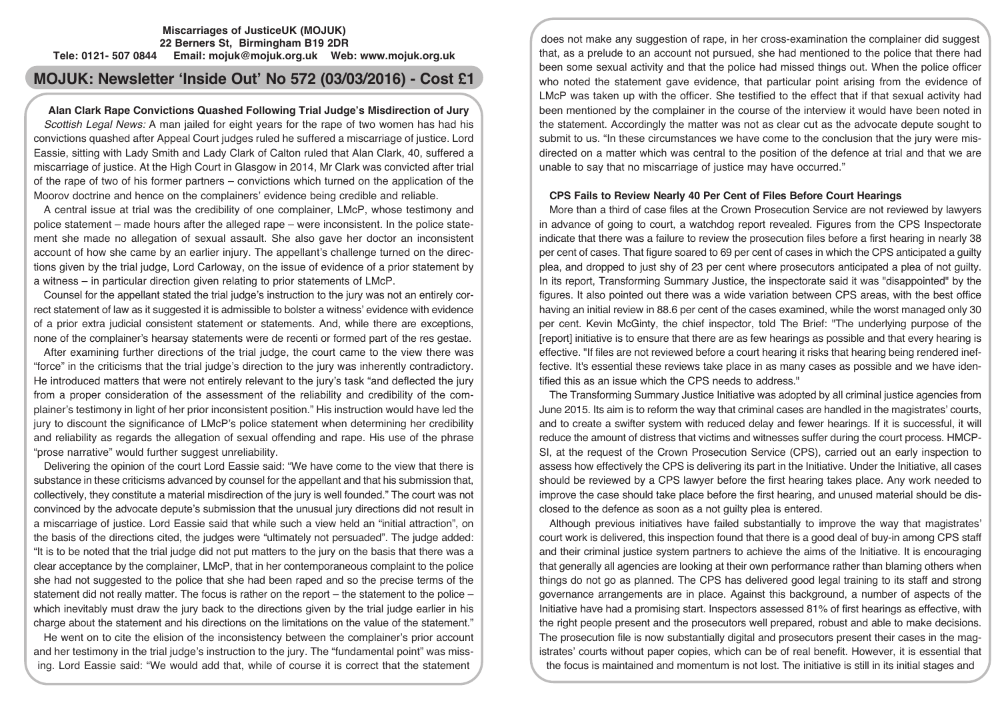# **Miscarriages of JusticeUK (MOJUK) 22 Berners St, Birmingham B19 2DR Tele: 0121- 507 0844 Email: mojuk@mojuk.org.uk Web: www.mojuk.org.uk**

# **MOJUK: Newsletter 'Inside Out' No 572 (03/03/2016) - Cost £1**

# **Alan Clark Rape Convictions Quashed Following Trial Judge's Misdirection of Jury**

*Scottish Legal News:* A man jailed for eight years for the rape of two women has had his convictions quashed after Appeal Court judges ruled he suffered a miscarriage of justice. Lord Eassie, sitting with Lady Smith and Lady Clark of Calton ruled that Alan Clark, 40, suffered a miscarriage of justice. At the High Court in Glasgow in 2014, Mr Clark was convicted after trial of the rape of two of his former partners – convictions which turned on the application of the Moorov doctrine and hence on the complainers' evidence being credible and reliable.

A central issue at trial was the credibility of one complainer, LMcP, whose testimony and police statement – made hours after the alleged rape – were inconsistent. In the police statement she made no allegation of sexual assault. She also gave her doctor an inconsistent account of how she came by an earlier injury. The appellant's challenge turned on the directions given by the trial judge, Lord Carloway, on the issue of evidence of a prior statement by a witness – in particular direction given relating to prior statements of LMcP.

Counsel for the appellant stated the trial judge's instruction to the jury was not an entirely correct statement of law as it suggested it is admissible to bolster a witness' evidence with evidence of a prior extra judicial consistent statement or statements. And, while there are exceptions, none of the complainer's hearsay statements were de recenti or formed part of the res gestae.

After examining further directions of the trial judge, the court came to the view there was "force" in the criticisms that the trial judge's direction to the jury was inherently contradictory. He introduced matters that were not entirely relevant to the jury's task "and deflected the jury from a proper consideration of the assessment of the reliability and credibility of the complainer's testimony in light of her prior inconsistent position." His instruction would have led the jury to discount the significance of LMcP's police statement when determining her credibility and reliability as regards the allegation of sexual offending and rape. His use of the phrase "prose narrative" would further suggest unreliability.

Delivering the opinion of the court Lord Eassie said: "We have come to the view that there is substance in these criticisms advanced by counsel for the appellant and that his submission that, collectively, they constitute a material misdirection of the jury is well founded." The court was not convinced by the advocate depute's submission that the unusual jury directions did not result in a miscarriage of justice. Lord Eassie said that while such a view held an "initial attraction", on the basis of the directions cited, the judges were "ultimately not persuaded". The judge added: "It is to be noted that the trial judge did not put matters to the jury on the basis that there was a clear acceptance by the complainer, LMcP, that in her contemporaneous complaint to the police she had not suggested to the police that she had been raped and so the precise terms of the statement did not really matter. The focus is rather on the report – the statement to the police – which inevitably must draw the jury back to the directions given by the trial judge earlier in his charge about the statement and his directions on the limitations on the value of the statement."

He went on to cite the elision of the inconsistency between the complainer's prior account and her testimony in the trial judge's instruction to the jury. The "fundamental point" was missing. Lord Eassie said: "We would add that, while of course it is correct that the statement

does not make any suggestion of rape, in her cross-examination the complainer did suggest that, as a prelude to an account not pursued, she had mentioned to the police that there had been some sexual activity and that the police had missed things out. When the police officer who noted the statement gave evidence, that particular point arising from the evidence of LMcP was taken up with the officer. She testified to the effect that if that sexual activity had been mentioned by the complainer in the course of the interview it would have been noted in the statement. Accordingly the matter was not as clear cut as the advocate depute sought to submit to us. "In these circumstances we have come to the conclusion that the jury were misdirected on a matter which was central to the position of the defence at trial and that we are unable to say that no miscarriage of justice may have occurred."

# **CPS Fails to Review Nearly 40 Per Cent of Files Before Court Hearings**

More than a third of case files at the Crown Prosecution Service are not reviewed by lawyers in advance of going to court, a watchdog report revealed. Figures from the CPS Inspectorate indicate that there was a failure to review the prosecution files before a first hearing in nearly 38 per cent of cases. That figure soared to 69 per cent of cases in which the CPS anticipated a guilty plea, and dropped to just shy of 23 per cent where prosecutors anticipated a plea of not guilty. In its report, Transforming Summary Justice, the inspectorate said it was "disappointed" by the figures. It also pointed out there was a wide variation between CPS areas, with the best office having an initial review in 88.6 per cent of the cases examined, while the worst managed only 30 per cent. Kevin McGinty, the chief inspector, told The Brief: "The underlying purpose of the [report] initiative is to ensure that there are as few hearings as possible and that every hearing is effective. "If files are not reviewed before a court hearing it risks that hearing being rendered ineffective. It's essential these reviews take place in as many cases as possible and we have identified this as an issue which the CPS needs to address."

The Transforming Summary Justice Initiative was adopted by all criminal justice agencies from June 2015. Its aim is to reform the way that criminal cases are handled in the magistrates' courts, and to create a swifter system with reduced delay and fewer hearings. If it is successful, it will reduce the amount of distress that victims and witnesses suffer during the court process. HMCP-SI, at the request of the Crown Prosecution Service (CPS), carried out an early inspection to assess how effectively the CPS is delivering its part in the Initiative. Under the Initiative, all cases should be reviewed by a CPS lawyer before the first hearing takes place. Any work needed to improve the case should take place before the first hearing, and unused material should be disclosed to the defence as soon as a not guilty plea is entered.

Although previous initiatives have failed substantially to improve the way that magistrates' court work is delivered, this inspection found that there is a good deal of buy-in among CPS staff and their criminal justice system partners to achieve the aims of the Initiative. It is encouraging that generally all agencies are looking at their own performance rather than blaming others when things do not go as planned. The CPS has delivered good legal training to its staff and strong governance arrangements are in place. Against this background, a number of aspects of the Initiative have had a promising start. Inspectors assessed 81% of first hearings as effective, with the right people present and the prosecutors well prepared, robust and able to make decisions. The prosecution file is now substantially digital and prosecutors present their cases in the magistrates' courts without paper copies, which can be of real benefit. However, it is essential that the focus is maintained and momentum is not lost. The initiative is still in its initial stages and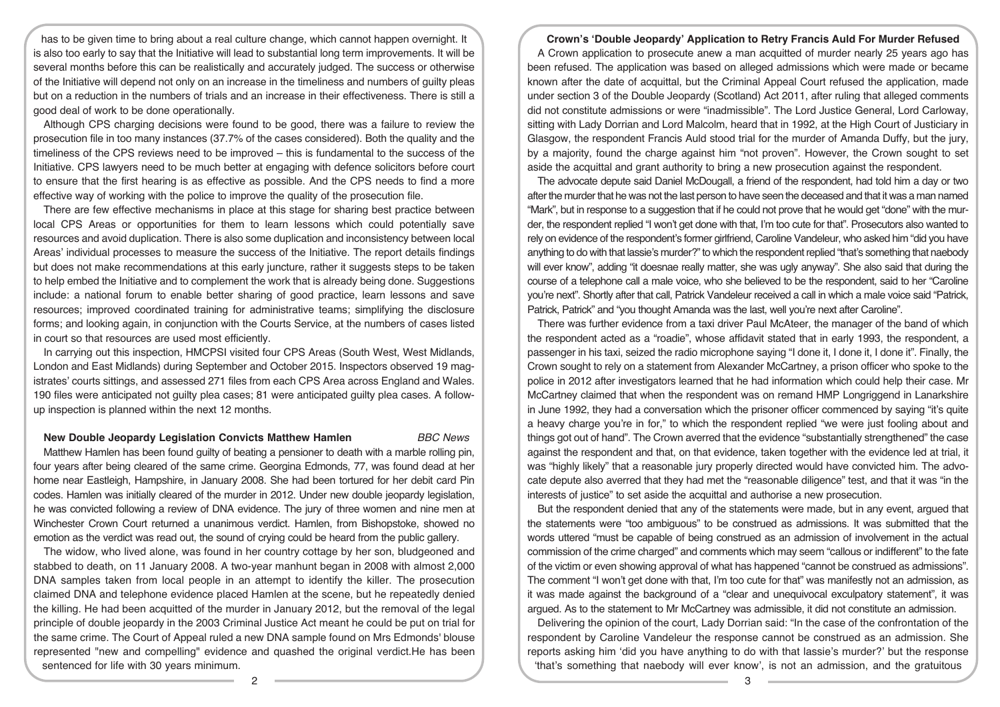has to be given time to bring about a real culture change, which cannot happen overnight. It is also too early to say that the Initiative will lead to substantial long term improvements. It will be several months before this can be realistically and accurately judged. The success or otherwise of the Initiative will depend not only on an increase in the timeliness and numbers of guilty pleas but on a reduction in the numbers of trials and an increase in their effectiveness. There is still a good deal of work to be done operationally.

Although CPS charging decisions were found to be good, there was a failure to review the prosecution file in too many instances (37.7% of the cases considered). Both the quality and the timeliness of the CPS reviews need to be improved – this is fundamental to the success of the Initiative. CPS lawyers need to be much better at engaging with defence solicitors before court to ensure that the first hearing is as effective as possible. And the CPS needs to find a more effective way of working with the police to improve the quality of the prosecution file.

There are few effective mechanisms in place at this stage for sharing best practice between local CPS Areas or opportunities for them to learn lessons which could potentially save resources and avoid duplication. There is also some duplication and inconsistency between local Areas' individual processes to measure the success of the Initiative. The report details findings but does not make recommendations at this early juncture, rather it suggests steps to be taken to help embed the Initiative and to complement the work that is already being done. Suggestions include: a national forum to enable better sharing of good practice, learn lessons and save resources; improved coordinated training for administrative teams; simplifying the disclosure forms; and looking again, in conjunction with the Courts Service, at the numbers of cases listed in court so that resources are used most efficiently.

In carrying out this inspection, HMCPSI visited four CPS Areas (South West, West Midlands, London and East Midlands) during September and October 2015. Inspectors observed 19 magistrates' courts sittings, and assessed 271 files from each CPS Area across England and Wales. 190 files were anticipated not guilty plea cases; 81 were anticipated guilty plea cases. A followup inspection is planned within the next 12 months.

# **New Double Jeopardy Legislation Convicts Matthew Hamlen** *BBC News*

Matthew Hamlen has been found guilty of beating a pensioner to death with a marble rolling pin, four years after being cleared of the same crime. Georgina Edmonds, 77, was found dead at her home near Eastleigh, Hampshire, in January 2008. She had been tortured for her debit card Pin codes. Hamlen was initially cleared of the murder in 2012. Under new double jeopardy legislation, he was convicted following a review of DNA evidence. The jury of three women and nine men at Winchester Crown Court returned a unanimous verdict. Hamlen, from Bishopstoke, showed no emotion as the verdict was read out, the sound of crying could be heard from the public gallery.

The widow, who lived alone, was found in her country cottage by her son, bludgeoned and stabbed to death, on 11 January 2008. A two-year manhunt began in 2008 with almost 2,000 DNA samples taken from local people in an attempt to identify the killer. The prosecution claimed DNA and telephone evidence placed Hamlen at the scene, but he repeatedly denied the killing. He had been acquitted of the murder in January 2012, but the removal of the legal principle of double jeopardy in the 2003 Criminal Justice Act meant he could be put on trial for the same crime. The Court of Appeal ruled a new DNA sample found on Mrs Edmonds' blouse represented "new and compelling" evidence and quashed the original verdict.He has been sentenced for life with 30 years minimum.

# **Crown's 'Double Jeopardy' Application to Retry Francis Auld For Murder Refused**

A Crown application to prosecute anew a man acquitted of murder nearly 25 years ago has been refused. The application was based on alleged admissions which were made or became known after the date of acquittal, but the Criminal Appeal Court refused the application, made under section 3 of the Double Jeopardy (Scotland) Act 2011, after ruling that alleged comments did not constitute admissions or were "inadmissible". The Lord Justice General, Lord Carloway, sitting with Lady Dorrian and Lord Malcolm, heard that in 1992, at the High Court of Justiciary in Glasgow, the respondent Francis Auld stood trial for the murder of Amanda Duffy, but the jury, by a majority, found the charge against him "not proven". However, the Crown sought to set aside the acquittal and grant authority to bring a new prosecution against the respondent.

The advocate depute said Daniel McDougall, a friend of the respondent, had told him a day or two after the murder that he was not the last person to have seen the deceased and that it was a man named "Mark", but in response to a suggestion that if he could not prove that he would get "done" with the murder, the respondent replied "I won't get done with that, I'm too cute for that". Prosecutors also wanted to rely on evidence of the respondent's former girlfriend, Caroline Vandeleur, who asked him "did you have anything to do with that lassie's murder?" to which the respondent replied "that's something that naebody will ever know", adding "it doesnae really matter, she was ugly anyway". She also said that during the course of a telephone call a male voice, who she believed to be the respondent, said to her "Caroline you're next". Shortly after that call, Patrick Vandeleur received a call in which a male voice said "Patrick, Patrick, Patrick" and "you thought Amanda was the last, well you're next after Caroline".

There was further evidence from a taxi driver Paul McAteer, the manager of the band of which the respondent acted as a "roadie", whose affidavit stated that in early 1993, the respondent, a passenger in his taxi, seized the radio microphone saying "I done it, I done it, I done it". Finally, the Crown sought to rely on a statement from Alexander McCartney, a prison officer who spoke to the police in 2012 after investigators learned that he had information which could help their case. Mr McCartney claimed that when the respondent was on remand HMP Longriggend in Lanarkshire in June 1992, they had a conversation which the prisoner officer commenced by saying "it's quite a heavy charge you're in for," to which the respondent replied "we were just fooling about and things got out of hand". The Crown averred that the evidence "substantially strengthened" the case against the respondent and that, on that evidence, taken together with the evidence led at trial, it was "highly likely" that a reasonable jury properly directed would have convicted him. The advocate depute also averred that they had met the "reasonable diligence" test, and that it was "in the interests of justice" to set aside the acquittal and authorise a new prosecution.

But the respondent denied that any of the statements were made, but in any event, argued that the statements were "too ambiguous" to be construed as admissions. It was submitted that the words uttered "must be capable of being construed as an admission of involvement in the actual commission of the crime charged" and comments which may seem "callous or indifferent" to the fate of the victim or even showing approval of what has happened "cannot be construed as admissions". The comment "I won't get done with that, I'm too cute for that" was manifestly not an admission, as it was made against the background of a "clear and unequivocal exculpatory statement", it was argued. As to the statement to Mr McCartney was admissible, it did not constitute an admission.

Delivering the opinion of the court, Lady Dorrian said: "In the case of the confrontation of the respondent by Caroline Vandeleur the response cannot be construed as an admission. She reports asking him 'did you have anything to do with that lassie's murder?' but the response 'that's something that naebody will ever know', is not an admission, and the gratuitous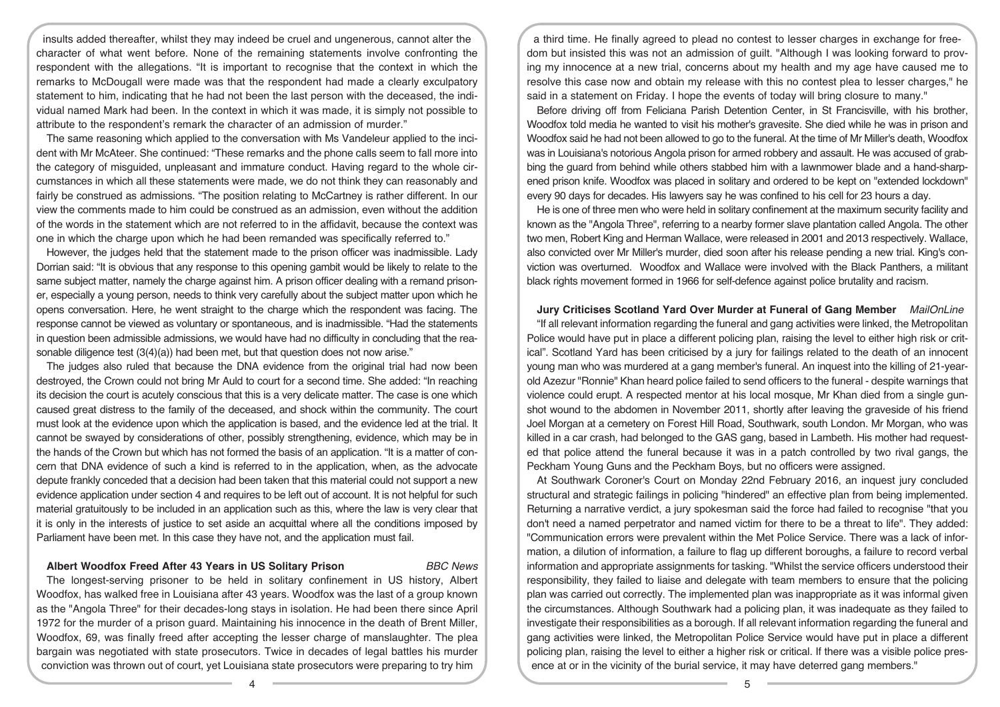insults added thereafter, whilst they may indeed be cruel and ungenerous, cannot alter the character of what went before. None of the remaining statements involve confronting the respondent with the allegations. "It is important to recognise that the context in which the remarks to McDougall were made was that the respondent had made a clearly exculpatory statement to him, indicating that he had not been the last person with the deceased, the individual named Mark had been. In the context in which it was made, it is simply not possible to attribute to the respondent's remark the character of an admission of murder."

The same reasoning which applied to the conversation with Ms Vandeleur applied to the incident with Mr McAteer. She continued: "These remarks and the phone calls seem to fall more into the category of misguided, unpleasant and immature conduct. Having regard to the whole circumstances in which all these statements were made, we do not think they can reasonably and fairly be construed as admissions. "The position relating to McCartney is rather different. In our view the comments made to him could be construed as an admission, even without the addition of the words in the statement which are not referred to in the affidavit, because the context was one in which the charge upon which he had been remanded was specifically referred to."

However, the judges held that the statement made to the prison officer was inadmissible. Lady Dorrian said: "It is obvious that any response to this opening gambit would be likely to relate to the same subject matter, namely the charge against him. A prison officer dealing with a remand prisoner, especially a young person, needs to think very carefully about the subject matter upon which he opens conversation. Here, he went straight to the charge which the respondent was facing. The response cannot be viewed as voluntary or spontaneous, and is inadmissible. "Had the statements in question been admissible admissions, we would have had no difficulty in concluding that the reasonable diligence test  $(3(4)(a))$  had been met, but that question does not now arise."

The judges also ruled that because the DNA evidence from the original trial had now been destroyed, the Crown could not bring Mr Auld to court for a second time. She added: "In reaching its decision the court is acutely conscious that this is a very delicate matter. The case is one which caused great distress to the family of the deceased, and shock within the community. The court must look at the evidence upon which the application is based, and the evidence led at the trial. It cannot be swayed by considerations of other, possibly strengthening, evidence, which may be in the hands of the Crown but which has not formed the basis of an application. "It is a matter of concern that DNA evidence of such a kind is referred to in the application, when, as the advocate depute frankly conceded that a decision had been taken that this material could not support a new evidence application under section 4 and requires to be left out of account. It is not helpful for such material gratuitously to be included in an application such as this, where the law is very clear that it is only in the interests of justice to set aside an acquittal where all the conditions imposed by Parliament have been met. In this case they have not, and the application must fail.

# **Albert Woodfox Freed After 43 Years in US Solitary Prison** *BBC News*

The longest-serving prisoner to be held in solitary confinement in US history, Albert Woodfox, has walked free in Louisiana after 43 years. Woodfox was the last of a group known as the "Angola Three" for their decades-long stays in isolation. He had been there since April 1972 for the murder of a prison guard. Maintaining his innocence in the death of Brent Miller, Woodfox, 69, was finally freed after accepting the lesser charge of manslaughter. The plea bargain was negotiated with state prosecutors. Twice in decades of legal battles his murder conviction was thrown out of court, yet Louisiana state prosecutors were preparing to try him

a third time. He finally agreed to plead no contest to lesser charges in exchange for freedom but insisted this was not an admission of guilt. "Although I was looking forward to proving my innocence at a new trial, concerns about my health and my age have caused me to resolve this case now and obtain my release with this no contest plea to lesser charges," he said in a statement on Friday. I hope the events of today will bring closure to many."

Before driving off from Feliciana Parish Detention Center, in St Francisville, with his brother, Woodfox told media he wanted to visit his mother's gravesite. She died while he was in prison and Woodfox said he had not been allowed to go to the funeral. At the time of Mr Miller's death, Woodfox was in Louisiana's notorious Angola prison for armed robbery and assault. He was accused of grabbing the guard from behind while others stabbed him with a lawnmower blade and a hand-sharpened prison knife. Woodfox was placed in solitary and ordered to be kept on "extended lockdown" every 90 days for decades. His lawyers say he was confined to his cell for 23 hours a day.

He is one of three men who were held in solitary confinement at the maximum security facility and known as the "Angola Three", referring to a nearby former slave plantation called Angola. The other two men, Robert King and Herman Wallace, were released in 2001 and 2013 respectively. Wallace, also convicted over Mr Miller's murder, died soon after his release pending a new trial. King's conviction was overturned. Woodfox and Wallace were involved with the Black Panthers, a militant black rights movement formed in 1966 for self-defence against police brutality and racism.

**Jury Criticises Scotland Yard Over Murder at Funeral of Gang Member** *MailOnLine* "If all relevant information regarding the funeral and gang activities were linked, the Metropolitan Police would have put in place a different policing plan, raising the level to either high risk or critical". Scotland Yard has been criticised by a jury for failings related to the death of an innocent young man who was murdered at a gang member's funeral. An inquest into the killing of 21-yearold Azezur "Ronnie" Khan heard police failed to send officers to the funeral - despite warnings that violence could erupt. A respected mentor at his local mosque, Mr Khan died from a single gunshot wound to the abdomen in November 2011, shortly after leaving the graveside of his friend Joel Morgan at a cemetery on Forest Hill Road, Southwark, south London. Mr Morgan, who was killed in a car crash, had belonged to the GAS gang, based in Lambeth. His mother had requested that police attend the funeral because it was in a patch controlled by two rival gangs, the

Peckham Young Guns and the Peckham Boys, but no officers were assigned. At Southwark Coroner's Court on Monday 22nd February 2016, an inquest jury concluded structural and strategic failings in policing "hindered" an effective plan from being implemented. Returning a narrative verdict, a jury spokesman said the force had failed to recognise "that you don't need a named perpetrator and named victim for there to be a threat to life". They added: "Communication errors were prevalent within the Met Police Service. There was a lack of information, a dilution of information, a failure to flag up different boroughs, a failure to record verbal information and appropriate assignments for tasking. "Whilst the service officers understood their responsibility, they failed to liaise and delegate with team members to ensure that the policing plan was carried out correctly. The implemented plan was inappropriate as it was informal given the circumstances. Although Southwark had a policing plan, it was inadequate as they failed to investigate their responsibilities as a borough. If all relevant information regarding the funeral and gang activities were linked, the Metropolitan Police Service would have put in place a different policing plan, raising the level to either a higher risk or critical. If there was a visible police presence at or in the vicinity of the burial service, it may have deterred gang members."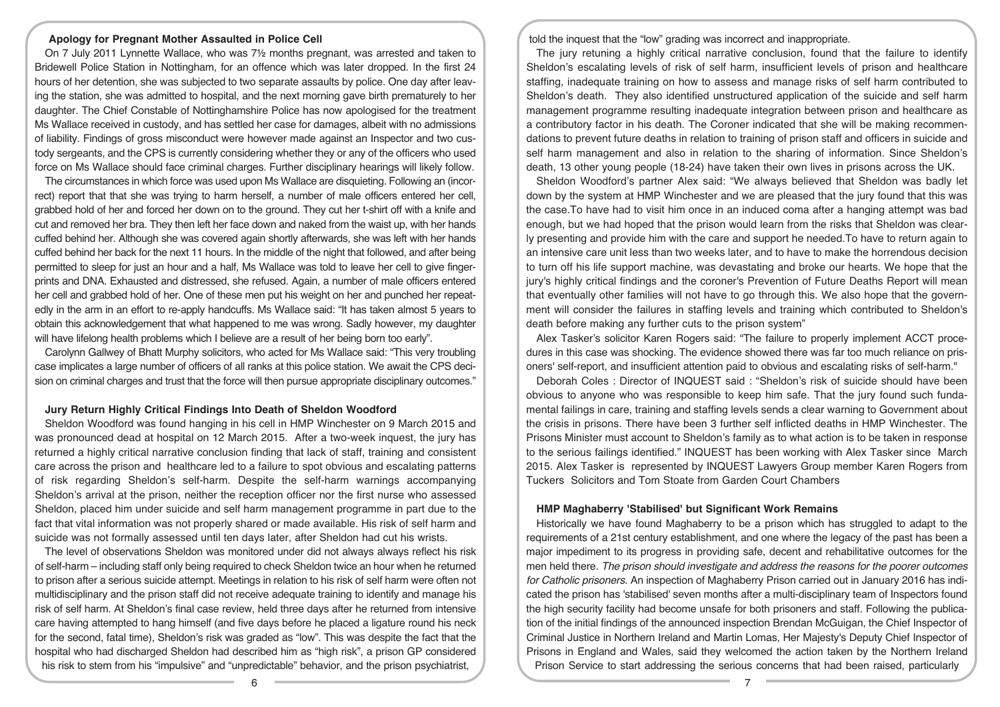# **Apology for Pregnant Mother Assaulted in Police Cell**

On 7 July 2011 Lynnette Wallace, who was 7½ months pregnant, was arrested and taken to Bridewell Police Station in Nottingham, for an offence which was later dropped. In the first 24 hours of her detention, she was subjected to two separate assaults by police. One day after leaving the station, she was admitted to hospital, and the next morning gave birth prematurely to her daughter. The Chief Constable of Nottinghamshire Police has now apologised for the treatment Ms Wallace received in custody, and has settled her case for damages, albeit with no admissions of liability. Findings of gross misconduct were however made against an Inspector and two custody sergeants, and the CPS is currently considering whether they or any of the officers who used force on Ms Wallace should face criminal charges. Further disciplinary hearings will likely follow.

The circumstances in which force was used upon Ms Wallace are disquieting. Following an (incorrect) report that that she was trying to harm herself, a number of male officers entered her cell, grabbed hold of her and forced her down on to the ground. They cut her t-shirt off with a knife and cut and removed her bra. They then left her face down and naked from the waist up, with her hands cuffed behind her. Although she was covered again shortly afterwards, she was left with her hands cuffed behind her back for the next 11 hours. In the middle of the night that followed, and after being permitted to sleep for just an hour and a half, Ms Wallace was told to leave her cell to give fingerprints and DNA. Exhausted and distressed, she refused. Again, a number of male officers entered her cell and grabbed hold of her. One of these men put his weight on her and punched her repeatedly in the arm in an effort to re-apply handcuffs. Ms Wallace said: "It has taken almost 5 years to obtain this acknowledgement that what happened to me was wrong. Sadly however, my daughter will have lifelong health problems which I believe are a result of her being born too early".

Carolynn Gallwey of Bhatt Murphy solicitors, who acted for Ms Wallace said: "This very troubling case implicates a large number of officers of all ranks at this police station. We await the CPS decision on criminal charges and trust that the force will then pursue appropriate disciplinary outcomes."

#### **Jury Return Highly Critical Findings Into Death of Sheldon Woodford**

Sheldon Woodford was found hanging in his cell in HMP Winchester on 9 March 2015 and was pronounced dead at hospital on 12 March 2015. After a two-week inquest, the jury has returned a highly critical narrative conclusion finding that lack of staff, training and consistent care across the prison and healthcare led to a failure to spot obvious and escalating patterns of risk regarding Sheldon's self-harm. Despite the self-harm warnings accompanying Sheldon's arrival at the prison, neither the reception officer nor the first nurse who assessed Sheldon, placed him under suicide and self harm management programme in part due to the fact that vital information was not properly shared or made available. His risk of self harm and suicide was not formally assessed until ten days later, after Sheldon had cut his wrists.

The level of observations Sheldon was monitored under did not always always reflect his risk of self-harm – including staff only being required to check Sheldon twice an hour when he returned to prison after a serious suicide attempt. Meetings in relation to his risk of self harm were often not multidisciplinary and the prison staff did not receive adequate training to identify and manage his risk of self harm. At Sheldon's final case review, held three days after he returned from intensive care having attempted to hang himself (and five days before he placed a ligature round his neck for the second, fatal time), Sheldon's risk was graded as "low". This was despite the fact that the hospital who had discharged Sheldon had described him as "high risk", a prison GP considered his risk to stem from his "impulsive" and "unpredictable" behavior, and the prison psychiatrist,

told the inquest that the "low" grading was incorrect and inappropriate.

The jury retuning a highly critical narrative conclusion, found that the failure to identify Sheldon's escalating levels of risk of self harm, insufficient levels of prison and healthcare staffing, inadequate training on how to assess and manage risks of self harm contributed to Sheldon's death. They also identified unstructured application of the suicide and self harm management programme resulting inadequate integration between prison and healthcare as a contributory factor in his death. The Coroner indicated that she will be making recommendations to prevent future deaths in relation to training of prison staff and officers in suicide and self harm management and also in relation to the sharing of information. Since Sheldon's death, 13 other young people (18-24) have taken their own lives in prisons across the UK.

Sheldon Woodford's partner Alex said: "We always believed that Sheldon was badly let down by the system at HMP Winchester and we are pleased that the jury found that this was the case.To have had to visit him once in an induced coma after a hanging attempt was bad enough, but we had hoped that the prison would learn from the risks that Sheldon was clearly presenting and provide him with the care and support he needed.To have to return again to an intensive care unit less than two weeks later, and to have to make the horrendous decision to turn off his life support machine, was devastating and broke our hearts. We hope that the jury's highly critical findings and the coroner's Prevention of Future Deaths Report will mean that eventually other families will not have to go through this. We also hope that the government will consider the failures in staffing levels and training which contributed to Sheldon's death before making any further cuts to the prison system"

Alex Tasker's solicitor Karen Rogers said: "The failure to properly implement ACCT procedures in this case was shocking. The evidence showed there was far too much reliance on prisoners' self-report, and insufficient attention paid to obvious and escalating risks of self-harm."

Deborah Coles : Director of INQUEST said : "Sheldon's risk of suicide should have been obvious to anyone who was responsible to keep him safe. That the jury found such fundamental failings in care, training and staffing levels sends a clear warning to Government about the crisis in prisons. There have been 3 further self inflicted deaths in HMP Winchester. The Prisons Minister must account to Sheldon's family as to what action is to be taken in response to the serious failings identified." INQUEST has been working with Alex Tasker since March 2015. Alex Tasker is represented by INQUEST Lawyers Group member Karen Rogers from Tuckers Solicitors and Tom Stoate from Garden Court Chambers

#### **HMP Maghaberry 'Stabilised' but Significant Work Remains**

Historically we have found Maghaberry to be a prison which has struggled to adapt to the requirements of a 21st century establishment, and one where the legacy of the past has been a major impediment to its progress in providing safe, decent and rehabilitative outcomes for the men held there. *The prison should investigate and address the reasons for the poorer outcomes for Catholic prisoners*. An inspection of Maghaberry Prison carried out in January 2016 has indicated the prison has 'stabilised' seven months after a multi-disciplinary team of Inspectors found the high security facility had become unsafe for both prisoners and staff. Following the publication of the initial findings of the announced inspection Brendan McGuigan, the Chief Inspector of Criminal Justice in Northern Ireland and Martin Lomas, Her Majesty's Deputy Chief Inspector of Prisons in England and Wales, said they welcomed the action taken by the Northern Ireland Prison Service to start addressing the serious concerns that had been raised, particularly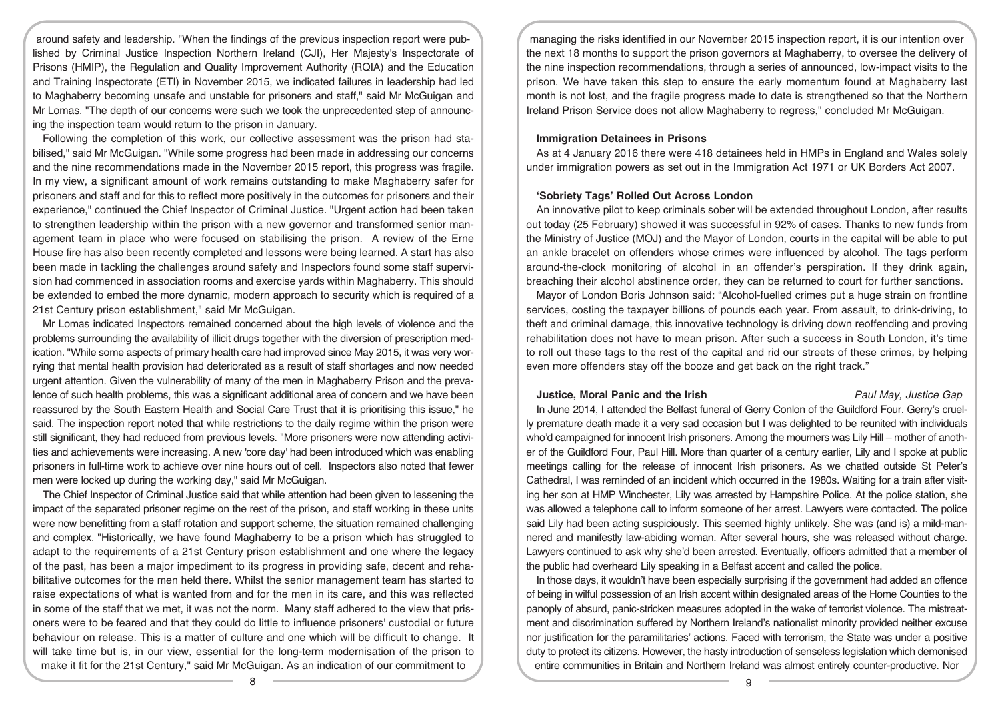around safety and leadership. "When the findings of the previous inspection report were published by Criminal Justice Inspection Northern Ireland (CJI), Her Majesty's Inspectorate of Prisons (HMIP), the Regulation and Quality Improvement Authority (RQIA) and the Education and Training Inspectorate (ETI) in November 2015, we indicated failures in leadership had led to Maghaberry becoming unsafe and unstable for prisoners and staff," said Mr McGuigan and Mr Lomas. "The depth of our concerns were such we took the unprecedented step of announcing the inspection team would return to the prison in January.

Following the completion of this work, our collective assessment was the prison had stabilised," said Mr McGuigan. "While some progress had been made in addressing our concerns and the nine recommendations made in the November 2015 report, this progress was fragile. In my view, a significant amount of work remains outstanding to make Maghaberry safer for prisoners and staff and for this to reflect more positively in the outcomes for prisoners and their experience," continued the Chief Inspector of Criminal Justice. "Urgent action had been taken to strengthen leadership within the prison with a new governor and transformed senior management team in place who were focused on stabilising the prison. A review of the Erne House fire has also been recently completed and lessons were being learned. A start has also been made in tackling the challenges around safety and Inspectors found some staff supervision had commenced in association rooms and exercise yards within Maghaberry. This should be extended to embed the more dynamic, modern approach to security which is required of a 21st Century prison establishment," said Mr McGuigan.

Mr Lomas indicated Inspectors remained concerned about the high levels of violence and the problems surrounding the availability of illicit drugs together with the diversion of prescription medication. "While some aspects of primary health care had improved since May 2015, it was very worrying that mental health provision had deteriorated as a result of staff shortages and now needed urgent attention. Given the vulnerability of many of the men in Maghaberry Prison and the prevalence of such health problems, this was a significant additional area of concern and we have been reassured by the South Eastern Health and Social Care Trust that it is prioritising this issue," he said. The inspection report noted that while restrictions to the daily regime within the prison were still significant, they had reduced from previous levels. "More prisoners were now attending activities and achievements were increasing. A new 'core day' had been introduced which was enabling prisoners in full-time work to achieve over nine hours out of cell. Inspectors also noted that fewer men were locked up during the working day," said Mr McGuigan.

The Chief Inspector of Criminal Justice said that while attention had been given to lessening the impact of the separated prisoner regime on the rest of the prison, and staff working in these units were now benefitting from a staff rotation and support scheme, the situation remained challenging and complex. "Historically, we have found Maghaberry to be a prison which has struggled to adapt to the requirements of a 21st Century prison establishment and one where the legacy of the past, has been a major impediment to its progress in providing safe, decent and rehabilitative outcomes for the men held there. Whilst the senior management team has started to raise expectations of what is wanted from and for the men in its care, and this was reflected in some of the staff that we met, it was not the norm. Many staff adhered to the view that prisoners were to be feared and that they could do little to influence prisoners' custodial or future behaviour on release. This is a matter of culture and one which will be difficult to change. It will take time but is, in our view, essential for the long-term modernisation of the prison to make it fit for the 21st Century," said Mr McGuigan. As an indication of our commitment to

managing the risks identified in our November 2015 inspection report, it is our intention over the next 18 months to support the prison governors at Maghaberry, to oversee the delivery of the nine inspection recommendations, through a series of announced, low-impact visits to the prison. We have taken this step to ensure the early momentum found at Maghaberry last month is not lost, and the fragile progress made to date is strengthened so that the Northern Ireland Prison Service does not allow Maghaberry to regress," concluded Mr McGuigan.

### **Immigration Detainees in Prisons**

As at 4 January 2016 there were 418 detainees held in HMPs in England and Wales solely under immigration powers as set out in the Immigration Act 1971 or UK Borders Act 2007.

### **'Sobriety Tags' Rolled Out Across London**

An innovative pilot to keep criminals sober will be extended throughout London, after results out today (25 February) showed it was successful in 92% of cases. Thanks to new funds from the Ministry of Justice (MOJ) and the Mayor of London, courts in the capital will be able to put an ankle bracelet on offenders whose crimes were influenced by alcohol. The tags perform around-the-clock monitoring of alcohol in an offender's perspiration. If they drink again, breaching their alcohol abstinence order, they can be returned to court for further sanctions.

Mayor of London Boris Johnson said: "Alcohol-fuelled crimes put a huge strain on frontline services, costing the taxpayer billions of pounds each year. From assault, to drink-driving, to theft and criminal damage, this innovative technology is driving down reoffending and proving rehabilitation does not have to mean prison. After such a success in South London, it's time to roll out these tags to the rest of the capital and rid our streets of these crimes, by helping even more offenders stay off the booze and get back on the right track."

# **Justice, Moral Panic and the Irish** *Paul May, Justice Gap*

In June 2014, I attended the Belfast funeral of Gerry Conlon of the Guildford Four. Gerry's cruelly premature death made it a very sad occasion but I was delighted to be reunited with individuals who'd campaigned for innocent Irish prisoners. Among the mourners was Lily Hill – mother of another of the Guildford Four, Paul Hill. More than quarter of a century earlier, Lily and I spoke at public meetings calling for the release of innocent Irish prisoners. As we chatted outside St Peter's Cathedral, I was reminded of an incident which occurred in the 1980s. Waiting for a train after visiting her son at HMP Winchester, Lily was arrested by Hampshire Police. At the police station, she was allowed a telephone call to inform someone of her arrest. Lawyers were contacted. The police said Lily had been acting suspiciously. This seemed highly unlikely. She was (and is) a mild-mannered and manifestly law-abiding woman. After several hours, she was released without charge. Lawyers continued to ask why she'd been arrested. Eventually, officers admitted that a member of the public had overheard Lily speaking in a Belfast accent and called the police.

In those days, it wouldn't have been especially surprising if the government had added an offence of being in wilful possession of an Irish accent within designated areas of the Home Counties to the panoply of absurd, panic-stricken measures adopted in the wake of terrorist violence. The mistreatment and discrimination suffered by Northern Ireland's nationalist minority provided neither excuse nor justification for the paramilitaries' actions. Faced with terrorism, the State was under a positive duty to protect its citizens. However, the hasty introduction of senseless legislation which demonised entire communities in Britain and Northern Ireland was almost entirely counter-productive. Nor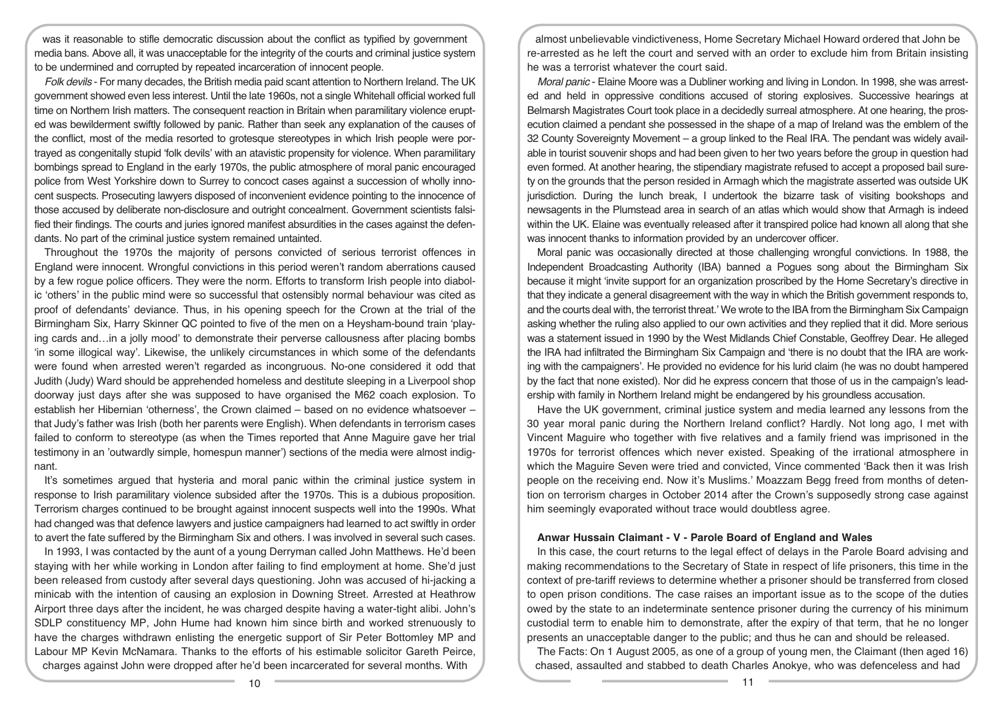was it reasonable to stifle democratic discussion about the conflict as typified by government media bans. Above all, it was unacceptable for the integrity of the courts and criminal justice system to be undermined and corrupted by repeated incarceration of innocent people.

*Folk devils* - For many decades, the British media paid scant attention to Northern Ireland. The UK government showed even less interest. Until the late 1960s, not a single Whitehall official worked full time on Northern Irish matters. The consequent reaction in Britain when paramilitary violence erupted was bewilderment swiftly followed by panic. Rather than seek any explanation of the causes of the conflict, most of the media resorted to grotesque stereotypes in which Irish people were portrayed as congenitally stupid 'folk devils' with an atavistic propensity for violence. When paramilitary bombings spread to England in the early 1970s, the public atmosphere of moral panic encouraged police from West Yorkshire down to Surrey to concoct cases against a succession of wholly innocent suspects. Prosecuting lawyers disposed of inconvenient evidence pointing to the innocence of those accused by deliberate non-disclosure and outright concealment. Government scientists falsified their findings. The courts and juries ignored manifest absurdities in the cases against the defendants. No part of the criminal justice system remained untainted.

Throughout the 1970s the majority of persons convicted of serious terrorist offences in England were innocent. Wrongful convictions in this period weren't random aberrations caused by a few rogue police officers. They were the norm. Efforts to transform Irish people into diabolic 'others' in the public mind were so successful that ostensibly normal behaviour was cited as proof of defendants' deviance. Thus, in his opening speech for the Crown at the trial of the Birmingham Six, Harry Skinner QC pointed to five of the men on a Heysham-bound train 'playing cards and…in a jolly mood' to demonstrate their perverse callousness after placing bombs 'in some illogical way'. Likewise, the unlikely circumstances in which some of the defendants were found when arrested weren't regarded as incongruous. No-one considered it odd that Judith (Judy) Ward should be apprehended homeless and destitute sleeping in a Liverpool shop doorway just days after she was supposed to have organised the M62 coach explosion. To establish her Hibernian 'otherness', the Crown claimed – based on no evidence whatsoever – that Judy's father was Irish (both her parents were English). When defendants in terrorism cases failed to conform to stereotype (as when the Times reported that Anne Maguire gave her trial testimony in an 'outwardly simple, homespun manner') sections of the media were almost indignant.

It's sometimes argued that hysteria and moral panic within the criminal justice system in response to Irish paramilitary violence subsided after the 1970s. This is a dubious proposition. Terrorism charges continued to be brought against innocent suspects well into the 1990s. What had changed was that defence lawyers and justice campaigners had learned to act swiftly in order to avert the fate suffered by the Birmingham Six and others. I was involved in several such cases.

In 1993, I was contacted by the aunt of a young Derryman called John Matthews. He'd been staying with her while working in London after failing to find employment at home. She'd just been released from custody after several days questioning. John was accused of hi-jacking a minicab with the intention of causing an explosion in Downing Street. Arrested at Heathrow Airport three days after the incident, he was charged despite having a water-tight alibi. John's SDLP constituency MP, John Hume had known him since birth and worked strenuously to have the charges withdrawn enlisting the energetic support of Sir Peter Bottomley MP and Labour MP Kevin McNamara. Thanks to the efforts of his estimable solicitor Gareth Peirce, charges against John were dropped after he'd been incarcerated for several months. With

almost unbelievable vindictiveness, Home Secretary Michael Howard ordered that John be re-arrested as he left the court and served with an order to exclude him from Britain insisting he was a terrorist whatever the court said.

*Moral panic* - Elaine Moore was a Dubliner working and living in London. In 1998, she was arrested and held in oppressive conditions accused of storing explosives. Successive hearings at Belmarsh Magistrates Court took place in a decidedly surreal atmosphere. At one hearing, the prosecution claimed a pendant she possessed in the shape of a map of Ireland was the emblem of the 32 County Sovereignty Movement – a group linked to the Real IRA. The pendant was widely available in tourist souvenir shops and had been given to her two years before the group in question had even formed. At another hearing, the stipendiary magistrate refused to accept a proposed bail surety on the grounds that the person resided in Armagh which the magistrate asserted was outside UK jurisdiction. During the lunch break, I undertook the bizarre task of visiting bookshops and newsagents in the Plumstead area in search of an atlas which would show that Armagh is indeed within the UK. Elaine was eventually released after it transpired police had known all along that she was innocent thanks to information provided by an undercover officer.

Moral panic was occasionally directed at those challenging wrongful convictions. In 1988, the Independent Broadcasting Authority (IBA) banned a Pogues song about the Birmingham Six because it might 'invite support for an organization proscribed by the Home Secretary's directive in that they indicate a general disagreement with the way in which the British government responds to, and the courts deal with, the terrorist threat.' We wrote to the IBA from the Birmingham Six Campaign asking whether the ruling also applied to our own activities and they replied that it did. More serious was a statement issued in 1990 by the West Midlands Chief Constable, Geoffrey Dear. He alleged the IRA had infiltrated the Birmingham Six Campaign and 'there is no doubt that the IRA are working with the campaigners'. He provided no evidence for his lurid claim (he was no doubt hampered by the fact that none existed). Nor did he express concern that those of us in the campaign's leadership with family in Northern Ireland might be endangered by his groundless accusation.

Have the UK government, criminal justice system and media learned any lessons from the 30 year moral panic during the Northern Ireland conflict? Hardly. Not long ago, I met with Vincent Maguire who together with five relatives and a family friend was imprisoned in the 1970s for terrorist offences which never existed. Speaking of the irrational atmosphere in which the Maguire Seven were tried and convicted, Vince commented 'Back then it was Irish people on the receiving end. Now it's Muslims.' Moazzam Begg freed from months of detention on terrorism charges in October 2014 after the Crown's supposedly strong case against him seemingly evaporated without trace would doubtless agree.

# **Anwar Hussain Claimant - V - Parole Board of England and Wales**

In this case, the court returns to the legal effect of delays in the Parole Board advising and making recommendations to the Secretary of State in respect of life prisoners, this time in the context of pre-tariff reviews to determine whether a prisoner should be transferred from closed to open prison conditions. The case raises an important issue as to the scope of the duties owed by the state to an indeterminate sentence prisoner during the currency of his minimum custodial term to enable him to demonstrate, after the expiry of that term, that he no longer presents an unacceptable danger to the public; and thus he can and should be released.

The Facts: On 1 August 2005, as one of a group of young men, the Claimant (then aged 16) chased, assaulted and stabbed to death Charles Anokye, who was defenceless and had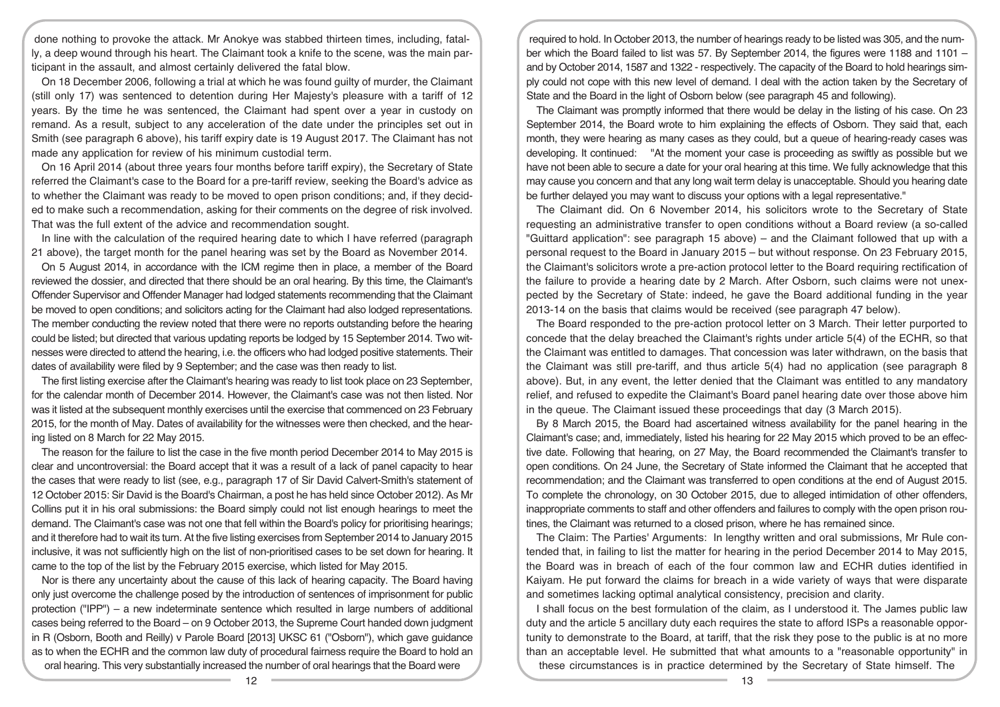done nothing to provoke the attack. Mr Anokye was stabbed thirteen times, including, fatally, a deep wound through his heart. The Claimant took a knife to the scene, was the main participant in the assault, and almost certainly delivered the fatal blow.

On 18 December 2006, following a trial at which he was found guilty of murder, the Claimant (still only 17) was sentenced to detention during Her Majesty's pleasure with a tariff of 12 years. By the time he was sentenced, the Claimant had spent over a year in custody on remand. As a result, subject to any acceleration of the date under the principles set out in Smith (see paragraph 6 above), his tariff expiry date is 19 August 2017. The Claimant has not made any application for review of his minimum custodial term.

On 16 April 2014 (about three years four months before tariff expiry), the Secretary of State referred the Claimant's case to the Board for a pre-tariff review, seeking the Board's advice as to whether the Claimant was ready to be moved to open prison conditions; and, if they decided to make such a recommendation, asking for their comments on the degree of risk involved. That was the full extent of the advice and recommendation sought.

In line with the calculation of the required hearing date to which I have referred (paragraph 21 above), the target month for the panel hearing was set by the Board as November 2014.

On 5 August 2014, in accordance with the ICM regime then in place, a member of the Board reviewed the dossier, and directed that there should be an oral hearing. By this time, the Claimant's Offender Supervisor and Offender Manager had lodged statements recommending that the Claimant be moved to open conditions; and solicitors acting for the Claimant had also lodged representations. The member conducting the review noted that there were no reports outstanding before the hearing could be listed; but directed that various updating reports be lodged by 15 September 2014. Two witnesses were directed to attend the hearing, i.e. the officers who had lodged positive statements. Their dates of availability were filed by 9 September; and the case was then ready to list.

The first listing exercise after the Claimant's hearing was ready to list took place on 23 September, for the calendar month of December 2014. However, the Claimant's case was not then listed. Nor was it listed at the subsequent monthly exercises until the exercise that commenced on 23 February 2015, for the month of May. Dates of availability for the witnesses were then checked, and the hearing listed on 8 March for 22 May 2015.

The reason for the failure to list the case in the five month period December 2014 to May 2015 is clear and uncontroversial: the Board accept that it was a result of a lack of panel capacity to hear the cases that were ready to list (see, e.g., paragraph 17 of Sir David Calvert-Smith's statement of 12 October 2015: Sir David is the Board's Chairman, a post he has held since October 2012). As Mr Collins put it in his oral submissions: the Board simply could not list enough hearings to meet the demand. The Claimant's case was not one that fell within the Board's policy for prioritising hearings; and it therefore had to wait its turn. At the five listing exercises from September 2014 to January 2015 inclusive, it was not sufficiently high on the list of non-prioritised cases to be set down for hearing. It came to the top of the list by the February 2015 exercise, which listed for May 2015.

Nor is there any uncertainty about the cause of this lack of hearing capacity. The Board having only just overcome the challenge posed by the introduction of sentences of imprisonment for public protection ("IPP") – a new indeterminate sentence which resulted in large numbers of additional cases being referred to the Board – on 9 October 2013, the Supreme Court handed down judgment in R (Osborn, Booth and Reilly) v Parole Board [2013] UKSC 61 ("Osborn"), which gave guidance as to when the ECHR and the common law duty of procedural fairness require the Board to hold an oral hearing. This very substantially increased the number of oral hearings that the Board were

required to hold. In October 2013, the number of hearings ready to be listed was 305, and the number which the Board failed to list was 57. By September 2014, the figures were 1188 and 1101 – and by October 2014, 1587 and 1322 - respectively. The capacity of the Board to hold hearings simply could not cope with this new level of demand. I deal with the action taken by the Secretary of State and the Board in the light of Osborn below (see paragraph 45 and following).

The Claimant was promptly informed that there would be delay in the listing of his case. On 23 September 2014, the Board wrote to him explaining the effects of Osborn. They said that, each month, they were hearing as many cases as they could, but a queue of hearing-ready cases was developing. It continued: "At the moment your case is proceeding as swiftly as possible but we have not been able to secure a date for your oral hearing at this time. We fully acknowledge that this may cause you concern and that any long wait term delay is unacceptable. Should you hearing date be further delayed you may want to discuss your options with a legal representative."

The Claimant did. On 6 November 2014, his solicitors wrote to the Secretary of State requesting an administrative transfer to open conditions without a Board review (a so-called "Guittard application": see paragraph 15 above) – and the Claimant followed that up with a personal request to the Board in January 2015 – but without response. On 23 February 2015, the Claimant's solicitors wrote a pre-action protocol letter to the Board requiring rectification of the failure to provide a hearing date by 2 March. After Osborn, such claims were not unexpected by the Secretary of State: indeed, he gave the Board additional funding in the year 2013-14 on the basis that claims would be received (see paragraph 47 below).

The Board responded to the pre-action protocol letter on 3 March. Their letter purported to concede that the delay breached the Claimant's rights under article 5(4) of the ECHR, so that the Claimant was entitled to damages. That concession was later withdrawn, on the basis that the Claimant was still pre-tariff, and thus article 5(4) had no application (see paragraph 8 above). But, in any event, the letter denied that the Claimant was entitled to any mandatory relief, and refused to expedite the Claimant's Board panel hearing date over those above him in the queue. The Claimant issued these proceedings that day (3 March 2015).

By 8 March 2015, the Board had ascertained witness availability for the panel hearing in the Claimant's case; and, immediately, listed his hearing for 22 May 2015 which proved to be an effective date. Following that hearing, on 27 May, the Board recommended the Claimant's transfer to open conditions. On 24 June, the Secretary of State informed the Claimant that he accepted that recommendation; and the Claimant was transferred to open conditions at the end of August 2015. To complete the chronology, on 30 October 2015, due to alleged intimidation of other offenders, inappropriate comments to staff and other offenders and failures to comply with the open prison routines, the Claimant was returned to a closed prison, where he has remained since.

The Claim: The Parties' Arguments: In lengthy written and oral submissions, Mr Rule contended that, in failing to list the matter for hearing in the period December 2014 to May 2015, the Board was in breach of each of the four common law and ECHR duties identified in Kaiyam. He put forward the claims for breach in a wide variety of ways that were disparate and sometimes lacking optimal analytical consistency, precision and clarity.

I shall focus on the best formulation of the claim, as I understood it. The James public law duty and the article 5 ancillary duty each requires the state to afford ISPs a reasonable opportunity to demonstrate to the Board, at tariff, that the risk they pose to the public is at no more than an acceptable level. He submitted that what amounts to a "reasonable opportunity" in these circumstances is in practice determined by the Secretary of State himself. The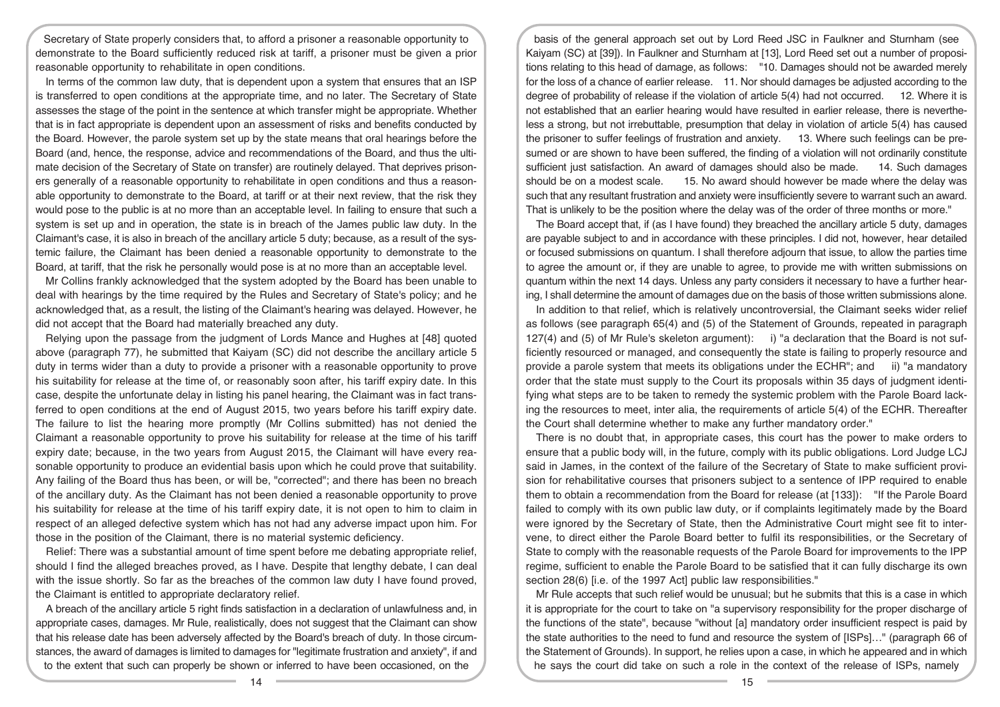Secretary of State properly considers that, to afford a prisoner a reasonable opportunity to demonstrate to the Board sufficiently reduced risk at tariff, a prisoner must be given a prior reasonable opportunity to rehabilitate in open conditions.

In terms of the common law duty, that is dependent upon a system that ensures that an ISP is transferred to open conditions at the appropriate time, and no later. The Secretary of State assesses the stage of the point in the sentence at which transfer might be appropriate. Whether that is in fact appropriate is dependent upon an assessment of risks and benefits conducted by the Board. However, the parole system set up by the state means that oral hearings before the Board (and, hence, the response, advice and recommendations of the Board, and thus the ultimate decision of the Secretary of State on transfer) are routinely delayed. That deprives prisoners generally of a reasonable opportunity to rehabilitate in open conditions and thus a reasonable opportunity to demonstrate to the Board, at tariff or at their next review, that the risk they would pose to the public is at no more than an acceptable level. In failing to ensure that such a system is set up and in operation, the state is in breach of the James public law duty. In the Claimant's case, it is also in breach of the ancillary article 5 duty; because, as a result of the systemic failure, the Claimant has been denied a reasonable opportunity to demonstrate to the Board, at tariff, that the risk he personally would pose is at no more than an acceptable level.

Mr Collins frankly acknowledged that the system adopted by the Board has been unable to deal with hearings by the time required by the Rules and Secretary of State's policy; and he acknowledged that, as a result, the listing of the Claimant's hearing was delayed. However, he did not accept that the Board had materially breached any duty.

Relying upon the passage from the judgment of Lords Mance and Hughes at [48] quoted above (paragraph 77), he submitted that Kaiyam (SC) did not describe the ancillary article 5 duty in terms wider than a duty to provide a prisoner with a reasonable opportunity to prove his suitability for release at the time of, or reasonably soon after, his tariff expiry date. In this case, despite the unfortunate delay in listing his panel hearing, the Claimant was in fact transferred to open conditions at the end of August 2015, two years before his tariff expiry date. The failure to list the hearing more promptly (Mr Collins submitted) has not denied the Claimant a reasonable opportunity to prove his suitability for release at the time of his tariff expiry date; because, in the two years from August 2015, the Claimant will have every reasonable opportunity to produce an evidential basis upon which he could prove that suitability. Any failing of the Board thus has been, or will be, "corrected"; and there has been no breach of the ancillary duty. As the Claimant has not been denied a reasonable opportunity to prove his suitability for release at the time of his tariff expiry date, it is not open to him to claim in respect of an alleged defective system which has not had any adverse impact upon him. For those in the position of the Claimant, there is no material systemic deficiency.

Relief: There was a substantial amount of time spent before me debating appropriate relief, should I find the alleged breaches proved, as I have. Despite that lengthy debate, I can deal with the issue shortly. So far as the breaches of the common law duty I have found proved, the Claimant is entitled to appropriate declaratory relief.

A breach of the ancillary article 5 right finds satisfaction in a declaration of unlawfulness and, in appropriate cases, damages. Mr Rule, realistically, does not suggest that the Claimant can show that his release date has been adversely affected by the Board's breach of duty. In those circumstances, the award of damages is limited to damages for "legitimate frustration and anxiety", if and to the extent that such can properly be shown or inferred to have been occasioned, on the

basis of the general approach set out by Lord Reed JSC in Faulkner and Sturnham (see Kaiyam (SC) at [39]). In Faulkner and Sturnham at [13], Lord Reed set out a number of propositions relating to this head of damage, as follows: "10. Damages should not be awarded merely for the loss of a chance of earlier release. 11. Nor should damages be adjusted according to the degree of probability of release if the violation of article 5(4) had not occurred. 12. Where it is not established that an earlier hearing would have resulted in earlier release, there is nevertheless a strong, but not irrebuttable, presumption that delay in violation of article 5(4) has caused the prisoner to suffer feelings of frustration and anxiety. 13. Where such feelings can be presumed or are shown to have been suffered, the finding of a violation will not ordinarily constitute sufficient just satisfaction. An award of damages should also be made. 14. Such damages should be on a modest scale. 15. No award should however be made where the delay was such that any resultant frustration and anxiety were insufficiently severe to warrant such an award. That is unlikely to be the position where the delay was of the order of three months or more."

The Board accept that, if (as I have found) they breached the ancillary article 5 duty, damages are payable subject to and in accordance with these principles. I did not, however, hear detailed or focused submissions on quantum. I shall therefore adjourn that issue, to allow the parties time to agree the amount or, if they are unable to agree, to provide me with written submissions on quantum within the next 14 days. Unless any party considers it necessary to have a further hearing, I shall determine the amount of damages due on the basis of those written submissions alone.

In addition to that relief, which is relatively uncontroversial, the Claimant seeks wider relief as follows (see paragraph 65(4) and (5) of the Statement of Grounds, repeated in paragraph 127(4) and (5) of Mr Rule's skeleton argument): i) "a declaration that the Board is not sufficiently resourced or managed, and consequently the state is failing to properly resource and provide a parole system that meets its obligations under the ECHR"; and ii) "a mandatory order that the state must supply to the Court its proposals within 35 days of judgment identifying what steps are to be taken to remedy the systemic problem with the Parole Board lacking the resources to meet, inter alia, the requirements of article 5(4) of the ECHR. Thereafter the Court shall determine whether to make any further mandatory order."

There is no doubt that, in appropriate cases, this court has the power to make orders to ensure that a public body will, in the future, comply with its public obligations. Lord Judge LCJ said in James, in the context of the failure of the Secretary of State to make sufficient provision for rehabilitative courses that prisoners subject to a sentence of IPP required to enable them to obtain a recommendation from the Board for release (at [133]): "If the Parole Board failed to comply with its own public law duty, or if complaints legitimately made by the Board were ignored by the Secretary of State, then the Administrative Court might see fit to intervene, to direct either the Parole Board better to fulfil its responsibilities, or the Secretary of State to comply with the reasonable requests of the Parole Board for improvements to the IPP regime, sufficient to enable the Parole Board to be satisfied that it can fully discharge its own section 28(6) [i.e. of the 1997 Act] public law responsibilities."

Mr Rule accepts that such relief would be unusual; but he submits that this is a case in which it is appropriate for the court to take on "a supervisory responsibility for the proper discharge of the functions of the state", because "without [a] mandatory order insufficient respect is paid by the state authorities to the need to fund and resource the system of [ISPs]…" (paragraph 66 of the Statement of Grounds). In support, he relies upon a case, in which he appeared and in which he says the court did take on such a role in the context of the release of ISPs, namely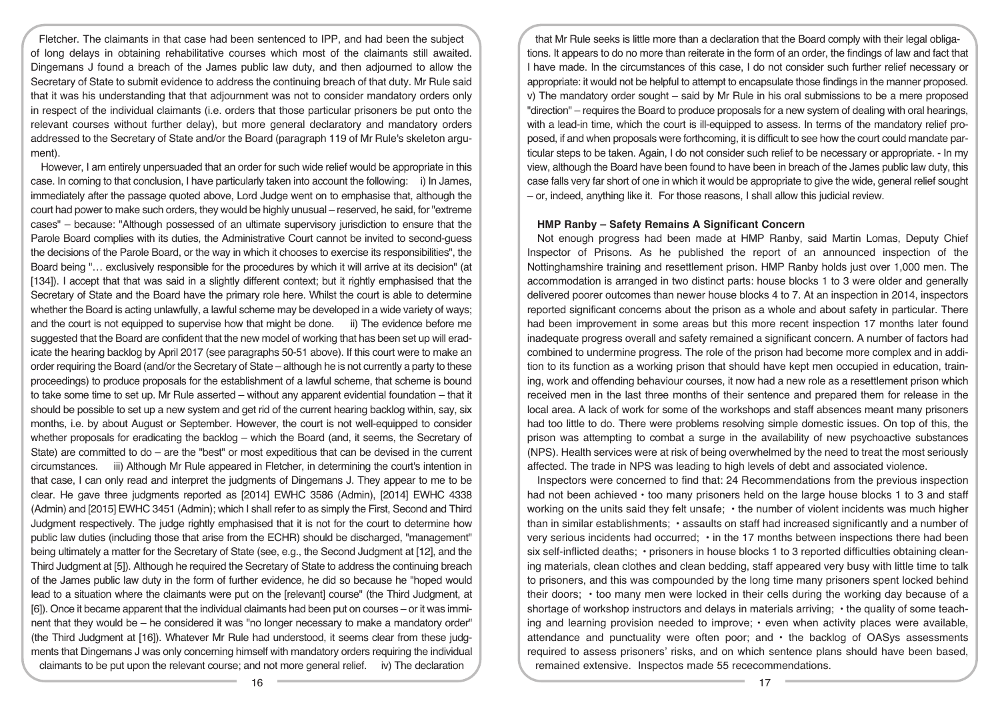Fletcher. The claimants in that case had been sentenced to IPP, and had been the subject of long delays in obtaining rehabilitative courses which most of the claimants still awaited. Dingemans J found a breach of the James public law duty, and then adjourned to allow the Secretary of State to submit evidence to address the continuing breach of that duty. Mr Rule said that it was his understanding that that adjournment was not to consider mandatory orders only in respect of the individual claimants (i.e. orders that those particular prisoners be put onto the relevant courses without further delay), but more general declaratory and mandatory orders addressed to the Secretary of State and/or the Board (paragraph 119 of Mr Rule's skeleton argument).

However, I am entirely unpersuaded that an order for such wide relief would be appropriate in this case. In coming to that conclusion, I have particularly taken into account the following: i) In James, immediately after the passage quoted above, Lord Judge went on to emphasise that, although the court had power to make such orders, they would be highly unusual – reserved, he said, for "extreme cases" – because: "Although possessed of an ultimate supervisory jurisdiction to ensure that the Parole Board complies with its duties, the Administrative Court cannot be invited to second-guess the decisions of the Parole Board, or the way in which it chooses to exercise its responsibilities", the Board being "… exclusively responsible for the procedures by which it will arrive at its decision" (at [134]). I accept that that was said in a slightly different context; but it rightly emphasised that the Secretary of State and the Board have the primary role here. Whilst the court is able to determine whether the Board is acting unlawfully, a lawful scheme may be developed in a wide variety of ways; and the court is not equipped to supervise how that might be done. ii) The evidence before me suggested that the Board are confident that the new model of working that has been set up will eradicate the hearing backlog by April 2017 (see paragraphs 50-51 above). If this court were to make an order requiring the Board (and/or the Secretary of State – although he is not currently a party to these proceedings) to produce proposals for the establishment of a lawful scheme, that scheme is bound to take some time to set up. Mr Rule asserted – without any apparent evidential foundation – that it should be possible to set up a new system and get rid of the current hearing backlog within, say, six months, i.e. by about August or September. However, the court is not well-equipped to consider whether proposals for eradicating the backlog – which the Board (and, it seems, the Secretary of State) are committed to do – are the "best" or most expeditious that can be devised in the current circumstances. iii) Although Mr Rule appeared in Fletcher, in determining the court's intention in that case, I can only read and interpret the judgments of Dingemans J. They appear to me to be clear. He gave three judgments reported as [2014] EWHC 3586 (Admin), [2014] EWHC 4338 (Admin) and [2015] EWHC 3451 (Admin); which I shall refer to as simply the First, Second and Third Judgment respectively. The judge rightly emphasised that it is not for the court to determine how public law duties (including those that arise from the ECHR) should be discharged, "management" being ultimately a matter for the Secretary of State (see, e.g., the Second Judgment at [12], and the Third Judgment at [5]). Although he required the Secretary of State to address the continuing breach of the James public law duty in the form of further evidence, he did so because he "hoped would lead to a situation where the claimants were put on the [relevant] course" (the Third Judgment, at [6]). Once it became apparent that the individual claimants had been put on courses – or it was imminent that they would be – he considered it was "no longer necessary to make a mandatory order" (the Third Judgment at [16]). Whatever Mr Rule had understood, it seems clear from these judgments that Dingemans J was only concerning himself with mandatory orders requiring the individual claimants to be put upon the relevant course; and not more general relief. iv) The declaration

that Mr Rule seeks is little more than a declaration that the Board comply with their legal obligations. It appears to do no more than reiterate in the form of an order, the findings of law and fact that I have made. In the circumstances of this case, I do not consider such further relief necessary or appropriate: it would not be helpful to attempt to encapsulate those findings in the manner proposed. v) The mandatory order sought – said by Mr Rule in his oral submissions to be a mere proposed "direction" – requires the Board to produce proposals for a new system of dealing with oral hearings, with a lead-in time, which the court is ill-equipped to assess. In terms of the mandatory relief proposed, if and when proposals were forthcoming, it is difficult to see how the court could mandate particular steps to be taken. Again, I do not consider such relief to be necessary or appropriate. - In my view, although the Board have been found to have been in breach of the James public law duty, this case falls very far short of one in which it would be appropriate to give the wide, general relief sought – or, indeed, anything like it. For those reasons, I shall allow this judicial review.

# **HMP Ranby – Safety Remains A Significant Concern**

Not enough progress had been made at HMP Ranby, said Martin Lomas, Deputy Chief Inspector of Prisons. As he published the report of an announced inspection of the Nottinghamshire training and resettlement prison. HMP Ranby holds just over 1,000 men. The accommodation is arranged in two distinct parts: house blocks 1 to 3 were older and generally delivered poorer outcomes than newer house blocks 4 to 7. At an inspection in 2014, inspectors reported significant concerns about the prison as a whole and about safety in particular. There had been improvement in some areas but this more recent inspection 17 months later found inadequate progress overall and safety remained a significant concern. A number of factors had combined to undermine progress. The role of the prison had become more complex and in addition to its function as a working prison that should have kept men occupied in education, training, work and offending behaviour courses, it now had a new role as a resettlement prison which received men in the last three months of their sentence and prepared them for release in the local area. A lack of work for some of the workshops and staff absences meant many prisoners had too little to do. There were problems resolving simple domestic issues. On top of this, the prison was attempting to combat a surge in the availability of new psychoactive substances (NPS). Health services were at risk of being overwhelmed by the need to treat the most seriously affected. The trade in NPS was leading to high levels of debt and associated violence.

Inspectors were concerned to find that: 24 Recommendations from the previous inspection had not been achieved  $\cdot$  too many prisoners held on the large house blocks 1 to 3 and staff working on the units said they felt unsafe; • the number of violent incidents was much higher than in similar establishments; • assaults on staff had increased significantly and a number of very serious incidents had occurred; • in the 17 months between inspections there had been six self-inflicted deaths; • prisoners in house blocks 1 to 3 reported difficulties obtaining cleaning materials, clean clothes and clean bedding, staff appeared very busy with little time to talk to prisoners, and this was compounded by the long time many prisoners spent locked behind their doors; • too many men were locked in their cells during the working day because of a shortage of workshop instructors and delays in materials arriving; • the quality of some teaching and learning provision needed to improve; • even when activity places were available, attendance and punctuality were often poor; and  $\cdot$  the backlog of OASys assessments required to assess prisoners' risks, and on which sentence plans should have been based, remained extensive. Inspectos made 55 rececommendations.